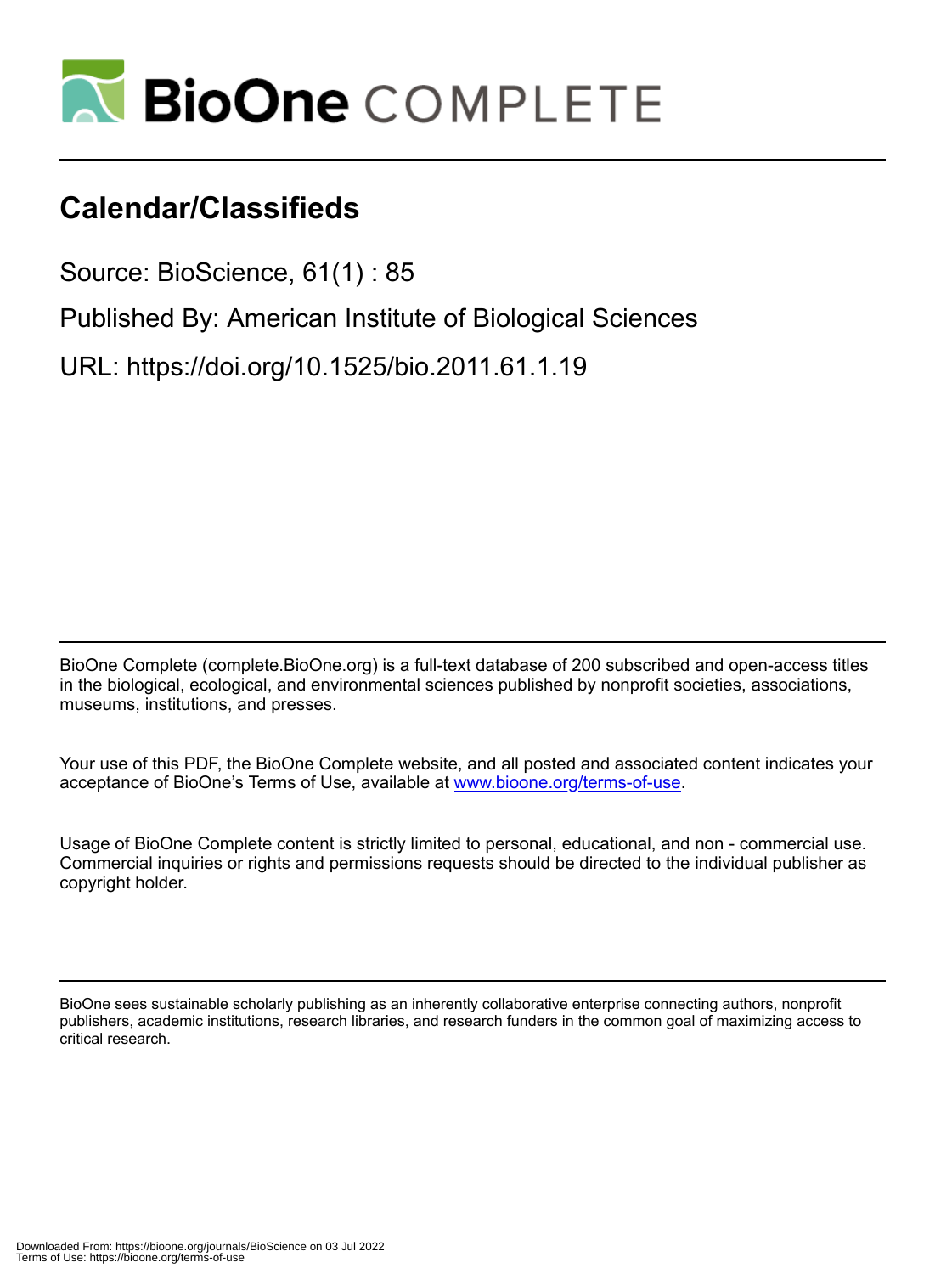

# **Calendar/Classifieds**

Source: BioScience, 61(1) : 85

Published By: American Institute of Biological Sciences

URL: https://doi.org/10.1525/bio.2011.61.1.19

BioOne Complete (complete.BioOne.org) is a full-text database of 200 subscribed and open-access titles in the biological, ecological, and environmental sciences published by nonprofit societies, associations, museums, institutions, and presses.

Your use of this PDF, the BioOne Complete website, and all posted and associated content indicates your acceptance of BioOne's Terms of Use, available at www.bioone.org/terms-of-use.

Usage of BioOne Complete content is strictly limited to personal, educational, and non - commercial use. Commercial inquiries or rights and permissions requests should be directed to the individual publisher as copyright holder.

BioOne sees sustainable scholarly publishing as an inherently collaborative enterprise connecting authors, nonprofit publishers, academic institutions, research libraries, and research funders in the common goal of maximizing access to critical research.